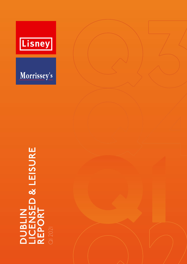



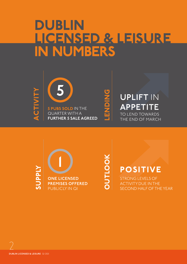# DUBLIN LICENSED & LEISURE IN NUMBERS







TO LEND TOWARDS THE END OF MARCH **UPLIFT** IN **APPETITE**



OUTLOOK OUTLOOK

# POSITIVE

STRONG LEVELS OF ACTIVITY DUE IN THE SECOND HALF OF THE YEAR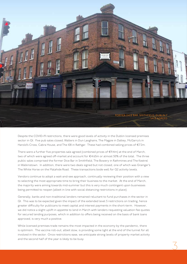

Despite the COVID-19 restrictions, there were good levels of activity in the Dublin licensed premises sector in Q1. Five pub sales closed; Walters in Dun Laoghaire, The Magpie in Dalkey, McGarry's in Harold's Cross, Cabra House, and The 108 in Rathgar. These had combined selling prices of €7.2m.

There were a further five properties sale agreed (combined prices of  $\epsilon$ 9.4m) at the end of March, two of which were agreed off-market and account for €4.65m or almost 50% of the total. The three public sales comprised the former Dice Bar in Smithfield, The Bowery in Rathmines and The Kestrel in Walkinstown. In addition, there were two deals signed but not closed, one of which was Grainger's The White Horse on the Malahide Road. These transactions bode well for Q2 activity levels.

Vendors continue to adopt a wait-and-see approach, continually reviewing their position with a view to selecting the most appropriate time to bring their business to the market. At the end of March, the majority were aiming towards mid-summer but this is very much contingent upon businesses being permitted to reopen (albeit in line with social distancing restrictions in place).

Generally, banks and non-traditional lenders remained reluctant to fund purchases in the sector in Q1. This was to be expected given the impact of the extended level 5 restrictions on trading, hence greater difficulty for publicans to meet capital and interest payments in the short-term. However, we did notice a slight uplift in appetite to lend in March with lenders requesting valuation fee quotes for secured lending purposes, which in addition to offers being received on the basis of bank loans approved, is very much a positive.

While licensed premises trade remains the most impacted in the economy by the pandemic, there is optimism. The vaccine roll-out, albeit slow, is providing some light at the end of the tunnel for all involved in the sector. Once restrictions ease, we anticipate strong levels of property market activity and the second half of the year is likely to be busy.